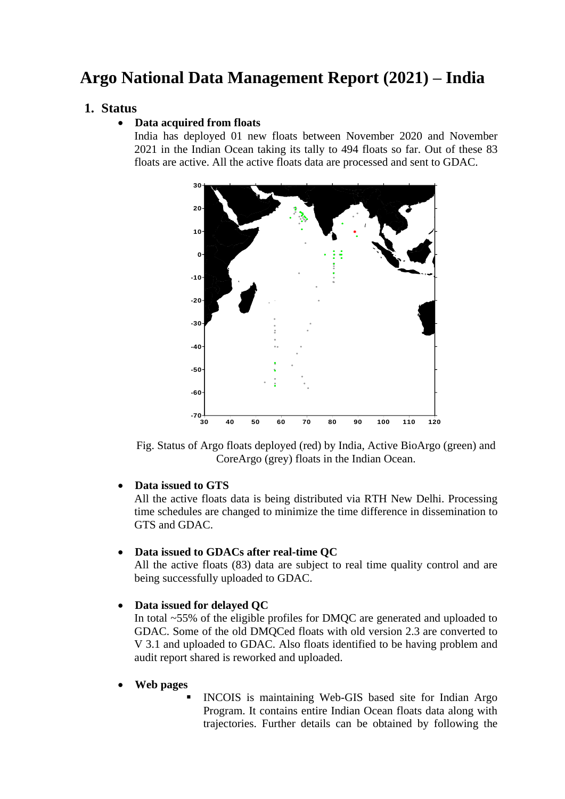# **Argo National Data Management Report (2021) – India**

# **1. Status**

## • **Data acquired from floats**

India has deployed 01 new floats between November 2020 and November 2021 in the Indian Ocean taking its tally to 494 floats so far. Out of these 83 floats are active. All the active floats data are processed and sent to GDAC.



Fig. Status of Argo floats deployed (red) by India, Active BioArgo (green) and CoreArgo (grey) floats in the Indian Ocean.

### • **Data issued to GTS**

All the active floats data is being distributed via RTH New Delhi. Processing time schedules are changed to minimize the time difference in dissemination to GTS and GDAC.

### • **Data issued to GDACs after real-time QC**

All the active floats (83) data are subject to real time quality control and are being successfully uploaded to GDAC.

### • **Data issued for delayed QC**

In total ~55% of the eligible profiles for DMQC are generated and uploaded to GDAC. Some of the old DMQCed floats with old version 2.3 are converted to V 3.1 and uploaded to GDAC. Also floats identified to be having problem and audit report shared is reworked and uploaded.

### • **Web pages**

INCOIS is maintaining Web-GIS based site for Indian Argo Program. It contains entire Indian Ocean floats data along with trajectories. Further details can be obtained by following the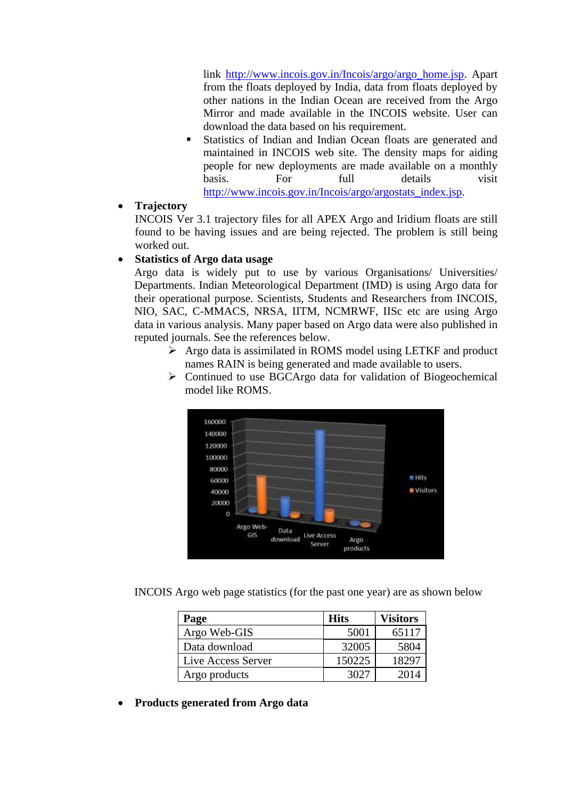link [http://www.incois.gov.in/Incois/argo/argo\\_home.jsp.](http://www.incois.gov.in/Incois/argo/argo_home.jsp) Apart from the floats deployed by India, data from floats deployed by other nations in the Indian Ocean are received from the Argo Mirror and made available in the INCOIS website. User can download the data based on his requirement.

Statistics of Indian and Indian Ocean floats are generated and maintained in INCOIS web site. The density maps for aiding people for new deployments are made available on a monthly basis. For full details visit [http://www.incois.gov.in/Incois/argo/argostats\\_index.jsp.](http://www.incois.gov.in/Incois/argo/argostats_index.jsp)

## • **Trajectory**

INCOIS Ver 3.1 trajectory files for all APEX Argo and Iridium floats are still found to be having issues and are being rejected. The problem is still being worked out.

# • **Statistics of Argo data usage**

Argo data is widely put to use by various Organisations/ Universities/ Departments. Indian Meteorological Department (IMD) is using Argo data for their operational purpose. Scientists, Students and Researchers from INCOIS, NIO, SAC, C-MMACS, NRSA, IITM, NCMRWF, IISc etc are using Argo data in various analysis. Many paper based on Argo data were also published in reputed journals. See the references below.

- ➢ Argo data is assimilated in ROMS model using LETKF and product names RAIN is being generated and made available to users.
- ➢ Continued to use BGCArgo data for validation of Biogeochemical model like ROMS.



INCOIS Argo web page statistics (for the past one year) are as shown below

| Page               | <b>Hits</b> | <b>Visitors</b> |
|--------------------|-------------|-----------------|
| Argo Web-GIS       | 5001        | 65117           |
| Data download      | 32005       | 5804            |
| Live Access Server | 150225      | 18297           |
| Argo products      | 3021        | 2014            |

• **Products generated from Argo data**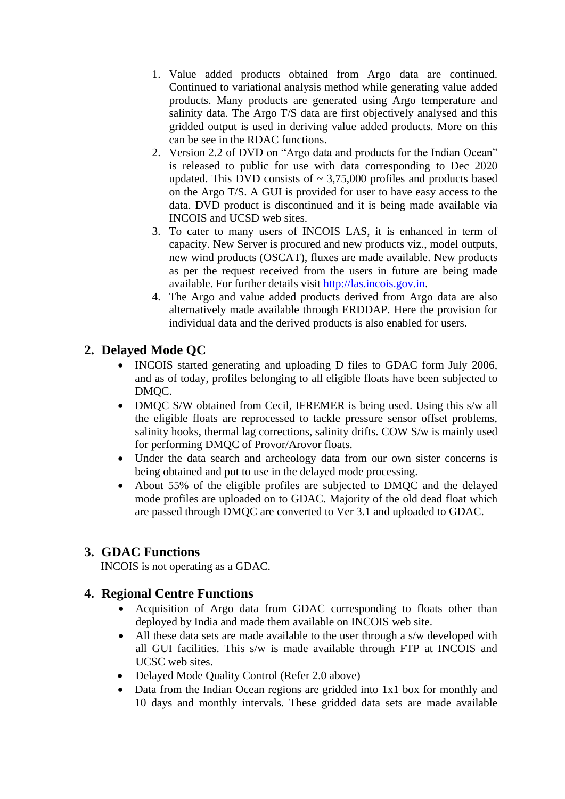- 1. Value added products obtained from Argo data are continued. Continued to variational analysis method while generating value added products. Many products are generated using Argo temperature and salinity data. The Argo T/S data are first objectively analysed and this gridded output is used in deriving value added products. More on this can be see in the RDAC functions.
- 2. Version 2.2 of DVD on "Argo data and products for the Indian Ocean" is released to public for use with data corresponding to Dec 2020 updated. This DVD consists of  $\sim 3,75,000$  profiles and products based on the Argo T/S. A GUI is provided for user to have easy access to the data. DVD product is discontinued and it is being made available via INCOIS and UCSD web sites.
- 3. To cater to many users of INCOIS LAS, it is enhanced in term of capacity. New Server is procured and new products viz., model outputs, new wind products (OSCAT), fluxes are made available. New products as per the request received from the users in future are being made available. For further details visit [http://las.incois.gov.in.](http://las.incois.gov.in/)
- 4. The Argo and value added products derived from Argo data are also alternatively made available through ERDDAP. Here the provision for individual data and the derived products is also enabled for users.

# **2. Delayed Mode QC**

- INCOIS started generating and uploading D files to GDAC form July 2006, and as of today, profiles belonging to all eligible floats have been subjected to DMOC.
- DMQC S/W obtained from Cecil, IFREMER is being used. Using this s/w all the eligible floats are reprocessed to tackle pressure sensor offset problems, salinity hooks, thermal lag corrections, salinity drifts. COW S/w is mainly used for performing DMQC of Provor/Arovor floats.
- Under the data search and archeology data from our own sister concerns is being obtained and put to use in the delayed mode processing.
- About 55% of the eligible profiles are subjected to DMOC and the delayed mode profiles are uploaded on to GDAC. Majority of the old dead float which are passed through DMQC are converted to Ver 3.1 and uploaded to GDAC.

# **3. GDAC Functions**

INCOIS is not operating as a GDAC.

# **4. Regional Centre Functions**

- Acquisition of Argo data from GDAC corresponding to floats other than deployed by India and made them available on INCOIS web site.
- All these data sets are made available to the user through a s/w developed with all GUI facilities. This s/w is made available through FTP at INCOIS and UCSC web sites.
- Delayed Mode Quality Control (Refer 2.0 above)
- Data from the Indian Ocean regions are gridded into 1x1 box for monthly and 10 days and monthly intervals. These gridded data sets are made available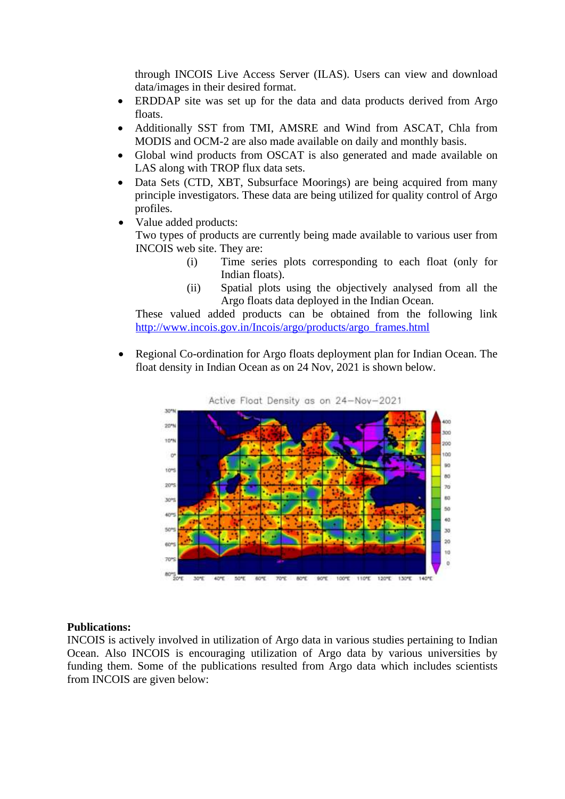through INCOIS Live Access Server (ILAS). Users can view and download data/images in their desired format.

- ERDDAP site was set up for the data and data products derived from Argo floats.
- Additionally SST from TMI, AMSRE and Wind from ASCAT, Chla from MODIS and OCM-2 are also made available on daily and monthly basis.
- Global wind products from OSCAT is also generated and made available on LAS along with TROP flux data sets.
- Data Sets (CTD, XBT, Subsurface Moorings) are being acquired from many principle investigators. These data are being utilized for quality control of Argo profiles.
- Value added products: Two types of products are currently being made available to various user from INCOIS web site. They are:
	- (i) Time series plots corresponding to each float (only for Indian floats).
	- (ii) Spatial plots using the objectively analysed from all the Argo floats data deployed in the Indian Ocean.

These valued added products can be obtained from the following link [http://www.incois.gov.in/Incois/argo/products/argo\\_frames.html](http://www.incois.gov.in/Incois/argo/products/argo_frames.html)

• Regional Co-ordination for Argo floats deployment plan for Indian Ocean. The float density in Indian Ocean as on 24 Nov, 2021 is shown below.



#### **Publications:**

INCOIS is actively involved in utilization of Argo data in various studies pertaining to Indian Ocean. Also INCOIS is encouraging utilization of Argo data by various universities by funding them. Some of the publications resulted from Argo data which includes scientists from INCOIS are given below: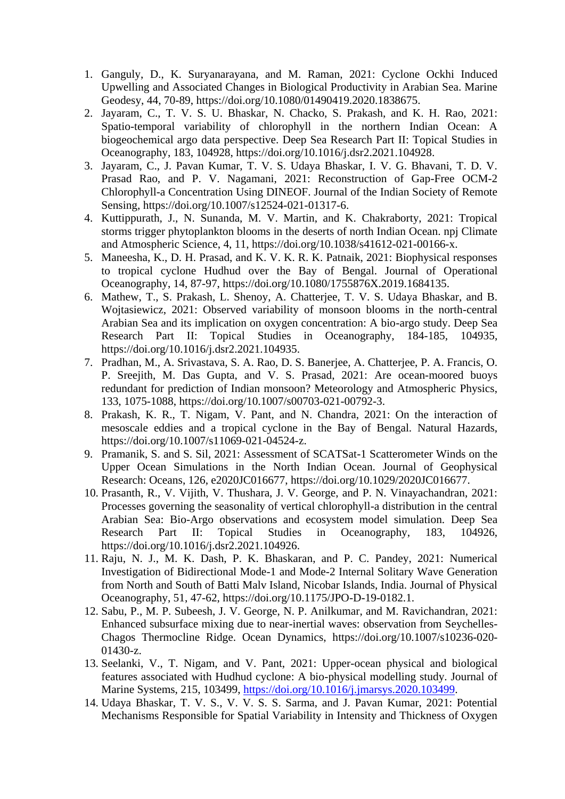- 1. Ganguly, D., K. Suryanarayana, and M. Raman, 2021: Cyclone Ockhi Induced Upwelling and Associated Changes in Biological Productivity in Arabian Sea. Marine Geodesy, 44, 70-89, https://doi.org/10.1080/01490419.2020.1838675.
- 2. Jayaram, C., T. V. S. U. Bhaskar, N. Chacko, S. Prakash, and K. H. Rao, 2021: Spatio-temporal variability of chlorophyll in the northern Indian Ocean: A biogeochemical argo data perspective. Deep Sea Research Part II: Topical Studies in Oceanography, 183, 104928, https://doi.org/10.1016/j.dsr2.2021.104928.
- 3. Jayaram, C., J. Pavan Kumar, T. V. S. Udaya Bhaskar, I. V. G. Bhavani, T. D. V. Prasad Rao, and P. V. Nagamani, 2021: Reconstruction of Gap-Free OCM-2 Chlorophyll-a Concentration Using DINEOF. Journal of the Indian Society of Remote Sensing, https://doi.org/10.1007/s12524-021-01317-6.
- 4. Kuttippurath, J., N. Sunanda, M. V. Martin, and K. Chakraborty, 2021: Tropical storms trigger phytoplankton blooms in the deserts of north Indian Ocean. npj Climate and Atmospheric Science, 4, 11, https://doi.org/10.1038/s41612-021-00166-x.
- 5. Maneesha, K., D. H. Prasad, and K. V. K. R. K. Patnaik, 2021: Biophysical responses to tropical cyclone Hudhud over the Bay of Bengal. Journal of Operational Oceanography, 14, 87-97, https://doi.org/10.1080/1755876X.2019.1684135.
- 6. Mathew, T., S. Prakash, L. Shenoy, A. Chatterjee, T. V. S. Udaya Bhaskar, and B. Wojtasiewicz, 2021: Observed variability of monsoon blooms in the north-central Arabian Sea and its implication on oxygen concentration: A bio-argo study. Deep Sea Research Part II: Topical Studies in Oceanography, 184-185, 104935, https://doi.org/10.1016/j.dsr2.2021.104935.
- 7. Pradhan, M., A. Srivastava, S. A. Rao, D. S. Banerjee, A. Chatterjee, P. A. Francis, O. P. Sreejith, M. Das Gupta, and V. S. Prasad, 2021: Are ocean-moored buoys redundant for prediction of Indian monsoon? Meteorology and Atmospheric Physics, 133, 1075-1088, https://doi.org/10.1007/s00703-021-00792-3.
- 8. Prakash, K. R., T. Nigam, V. Pant, and N. Chandra, 2021: On the interaction of mesoscale eddies and a tropical cyclone in the Bay of Bengal. Natural Hazards, https://doi.org/10.1007/s11069-021-04524-z.
- 9. Pramanik, S. and S. Sil, 2021: Assessment of SCATSat-1 Scatterometer Winds on the Upper Ocean Simulations in the North Indian Ocean. Journal of Geophysical Research: Oceans, 126, e2020JC016677, https://doi.org/10.1029/2020JC016677.
- 10. Prasanth, R., V. Vijith, V. Thushara, J. V. George, and P. N. Vinayachandran, 2021: Processes governing the seasonality of vertical chlorophyll-a distribution in the central Arabian Sea: Bio-Argo observations and ecosystem model simulation. Deep Sea Research Part II: Topical Studies in Oceanography, 183, 104926, https://doi.org/10.1016/j.dsr2.2021.104926.
- 11. Raju, N. J., M. K. Dash, P. K. Bhaskaran, and P. C. Pandey, 2021: Numerical Investigation of Bidirectional Mode-1 and Mode-2 Internal Solitary Wave Generation from North and South of Batti Malv Island, Nicobar Islands, India. Journal of Physical Oceanography, 51, 47-62, https://doi.org/10.1175/JPO-D-19-0182.1.
- 12. Sabu, P., M. P. Subeesh, J. V. George, N. P. Anilkumar, and M. Ravichandran, 2021: Enhanced subsurface mixing due to near-inertial waves: observation from Seychelles-Chagos Thermocline Ridge. Ocean Dynamics, https://doi.org/10.1007/s10236-020- 01430-z.
- 13. Seelanki, V., T. Nigam, and V. Pant, 2021: Upper-ocean physical and biological features associated with Hudhud cyclone: A bio-physical modelling study. Journal of Marine Systems, 215, 103499, [https://doi.org/10.1016/j.jmarsys.2020.103499.](https://doi.org/10.1016/j.jmarsys.2020.103499)
- 14. Udaya Bhaskar, T. V. S., V. V. S. S. Sarma, and J. Pavan Kumar, 2021: Potential Mechanisms Responsible for Spatial Variability in Intensity and Thickness of Oxygen